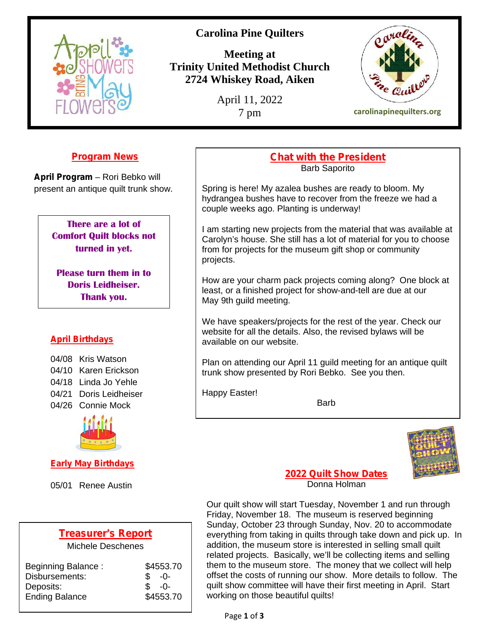

# **Carolina Pine Quilters**

**Meeting at Trinity United Methodist Church 2724 Whiskey Road, Aiken**

April 11, 2022



7 pm **carolinapinequilters.org**

## **Program News**

**April Program** – Rori Bebko will present an antique quilt trunk show.

> **There are a lot of Comfort Quilt blocks not turned in yet.**

**Please turn them in to Doris Leidheiser. Thank you.**

## **April Birthdays**

04/08 Kris Watson 04/10 Karen Erickson 04/18 Linda Jo Yehle 04/21 Doris Leidheiser 04/26 Connie Mock



**Early May Birthdays**

05/01 Renee Austin

## **Treasurer's Report**

Michele Deschenes

| Beginning Balance:    | \$4553.70 | the       |
|-----------------------|-----------|-----------|
| Disbursements:        | $-0-$     | off:      |
| Deposits:             | -ባ-       | qui       |
| <b>Ending Balance</b> | \$4553.70 | <b>WO</b> |

### **Chat with the President** Barb Saporito

Spring is here! My azalea bushes are ready to bloom. My hydrangea bushes have to recover from the freeze we had a couple weeks ago. Planting is underway!

I am starting new projects from the material that was available at Carolyn's house. She still has a lot of material for you to choose from for projects for the museum gift shop or community projects.

How are your charm pack projects coming along? One block at least, or a finished project for show-and-tell are due at our May 9th guild meeting.

We have speakers/projects for the rest of the year. Check our website for all the details. Also, the revised bylaws will be available on our website.

Plan on attending our April 11 guild meeting for an antique quilt trunk show presented by Rori Bebko. See you then.

Happy Easter!

**Barb** 



**2022 Quilt Show Dates** Donna Holman

Our quilt show will start Tuesday, November 1 and run through Friday, November 18. The museum is reserved beginning Sunday, October 23 through Sunday, Nov. 20 to accommodate everything from taking in quilts through take down and pick up. In addition, the museum store is interested in selling small quilt related projects. Basically, we'll be collecting items and selling them to the museum store. The money that we collect will help offset the costs of running our show. More details to follow. The quilt show committee will have their first meeting in April. Start working on those beautiful quilts!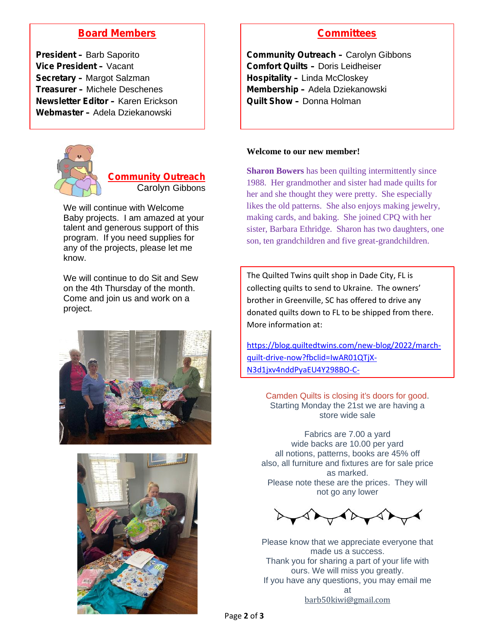## **Board Members**

**President –** Barb Saporito **Vice President –** Vacant **Secretary –** Margot Salzman **Treasurer –** Michele Deschenes **Newsletter Editor –** Karen Erickson **Webmaster –** Adela Dziekanowski



**Community Outreach** Carolyn Gibbons

We will continue with Welcome Baby projects. I am amazed at your talent and generous support of this program. If you need supplies for any of the projects, please let me know.

We will continue to do Sit and Sew on the 4th Thursday of the month. Come and join us and work on a project.





## **Committees**

**Community Outreach –** Carolyn Gibbons **Comfort Quilts –** Doris Leidheiser **Hospitality –** Linda McCloskey **Membership –** Adela Dziekanowski **Quilt Show –** Donna Holman

#### **Welcome to our new member!**

**Sharon Bowers** has been quilting intermittently since 1988. Her grandmother and sister had made quilts for her and she thought they were pretty. She especially likes the old patterns. She also enjoys making jewelry, making cards, and baking. She joined CPQ with her sister, Barbara Ethridge. Sharon has two daughters, one son, ten grandchildren and five great-grandchildren.

The Quilted Twins quilt shop in Dade City, FL is collecting quilts to send to Ukraine. The owners' brother in Greenville, SC has offered to drive any donated quilts down to FL to be shipped from there. More information at:

https://blog.quiltedtwins.com/new-blog/2022/march quilt-drive-now?fbclid=IwAR01QTjX- N3d1jxv4nddPyaEU4Y298BO-C-

Camden Quilts is closing it's doors for good. Starting Monday the 21st we are having a store wide sale

Fabrics are 7.00 a yard wide backs are 10.00 per yard all notions, patterns, books are 45% off also, all furniture and fixtures are for sale price as marked. Please note these are the prices. They will not go any lower

Please know that we appreciate everyone that made us a success. Thank you for sharing a part of your life with ours. We will miss you greatly. If you have any questions, you may email me at barb50kiwi@gmail.com